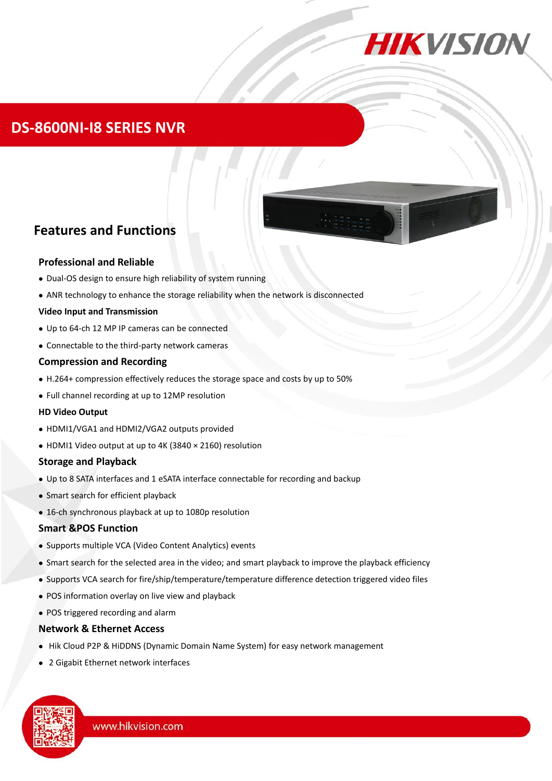

### **DS-8600NI-I8 SERIES NVR**



# **Features and Functions**

#### **Professional and Reliable**

- Dual-OS design to ensure high reliability of system running
- ANR technology to enhance the storage reliability when the network is disconnected

#### **Video Input and Transmission**

- Up to 64-ch 12 MP IP cameras can be connected
- Connectable to the third-party network cameras

#### **Compression and Recording**

- H.264+ compression effectively reduces the storage space and costs by up to 50%
- Full channel recording at up to 12MP resolution

#### **HD Video Output**

- HDMI1/VGA1 and HDMI2/VGA2 outputs provided
- HDMI1 Video output at up to 4K (3840 × 2160) resolution

#### **Storage and Playback**

- Up to 8 SATA interfaces and 1 eSATA interface connectable for recording and backup
- Smart search for efficient playback
- 16-ch synchronous playback at up to 1080p resolution

#### **Smart &POS Function**

- Supports multiple VCA (Video Content Analytics) events
- Smart search for the selected area in the video; and smart playback to improve the playback efficiency
- Supports VCA search for fire/ship/temperature/temperature difference detection triggered video files
- POS information overlay on live view and playback
- POS triggered recording and alarm

#### **Network & Ethernet Access**

- Hik Cloud P2P & HiDDNS (Dynamic Domain Name System) for easy network management
- 2 Gigabit Ethernet network interfaces

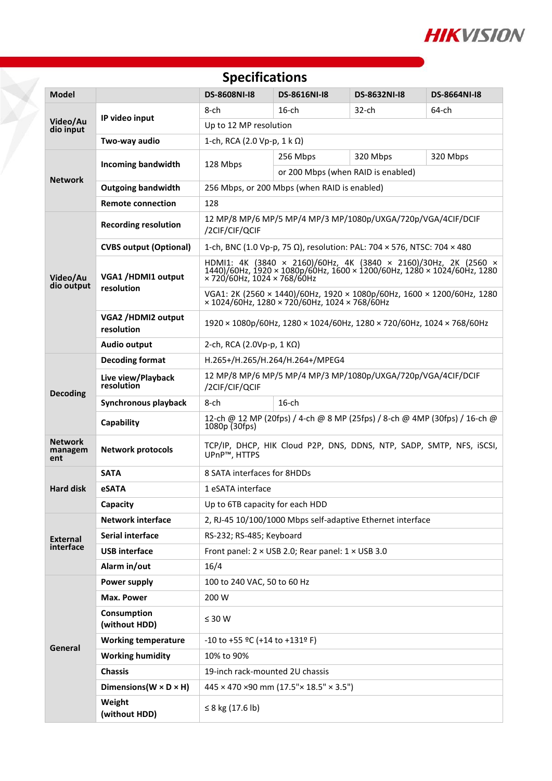

| <b>Specifications</b>            |                                      |                                                                                                                                                                                      |                                    |                     |                     |  |  |  |
|----------------------------------|--------------------------------------|--------------------------------------------------------------------------------------------------------------------------------------------------------------------------------------|------------------------------------|---------------------|---------------------|--|--|--|
| <b>Model</b>                     |                                      | <b>DS-8608NI-18</b>                                                                                                                                                                  | <b>DS-8616NI-I8</b>                | <b>DS-8632NI-I8</b> | <b>DS-8664NI-18</b> |  |  |  |
| Video/Au<br>dio input            | IP video input                       | 8-ch                                                                                                                                                                                 | $16$ -ch                           | 32-ch               | 64-ch               |  |  |  |
|                                  |                                      | Up to 12 MP resolution                                                                                                                                                               |                                    |                     |                     |  |  |  |
|                                  | Two-way audio                        | 1-ch, RCA (2.0 Vp-p, 1 k Ω)                                                                                                                                                          |                                    |                     |                     |  |  |  |
| <b>Network</b>                   | <b>Incoming bandwidth</b>            | 128 Mbps                                                                                                                                                                             | 320 Mbps<br>320 Mbps<br>256 Mbps   |                     |                     |  |  |  |
|                                  |                                      |                                                                                                                                                                                      | or 200 Mbps (when RAID is enabled) |                     |                     |  |  |  |
|                                  | <b>Outgoing bandwidth</b>            | 256 Mbps, or 200 Mbps (when RAID is enabled)                                                                                                                                         |                                    |                     |                     |  |  |  |
|                                  | <b>Remote connection</b>             | 128                                                                                                                                                                                  |                                    |                     |                     |  |  |  |
| Video/Au<br>dio output           | <b>Recording resolution</b>          | 12 MP/8 MP/6 MP/5 MP/4 MP/3 MP/1080p/UXGA/720p/VGA/4CIF/DCIF<br>/2CIF/CIF/QCIF                                                                                                       |                                    |                     |                     |  |  |  |
|                                  | <b>CVBS output (Optional)</b>        | 1-ch, BNC (1.0 Vp-p, 75 Ω), resolution: PAL: 704 × 576, NTSC: 704 × 480                                                                                                              |                                    |                     |                     |  |  |  |
|                                  | VGA1 /HDMI1 output<br>resolution     | HDMI1: 4K (3840 × 2160)/60Hz, 4K (3840 × 2160)/30Hz, 2K (2560 × 1440)/60Hz, 1920 × 1080p/60Hz, 1600 × 1200/60Hz, 1280 × 1024/60Hz, 1280<br>$\times$ 720/60Hz, 1024 $\times$ 768/60Hz |                                    |                     |                     |  |  |  |
|                                  |                                      | VGA1: 2K (2560 × 1440)/60Hz, 1920 × 1080p/60Hz, 1600 × 1200/60Hz, 1280<br>$\times$ 1024/60Hz, 1280 $\times$ 720/60Hz, 1024 $\times$ 768/60Hz                                         |                                    |                     |                     |  |  |  |
|                                  | VGA2 /HDMI2 output<br>resolution     | $1920 \times 1080p/60$ Hz, $1280 \times 1024/60$ Hz, $1280 \times 720/60$ Hz, $1024 \times 768/60$ Hz                                                                                |                                    |                     |                     |  |  |  |
|                                  | <b>Audio output</b>                  | 2-ch, RCA (2.0Vp-p, 1 KΩ)                                                                                                                                                            |                                    |                     |                     |  |  |  |
| <b>Decoding</b>                  | <b>Decoding format</b>               | H.265+/H.265/H.264/H.264+/MPEG4                                                                                                                                                      |                                    |                     |                     |  |  |  |
|                                  | Live view/Playback<br>resolution     | 12 MP/8 MP/6 MP/5 MP/4 MP/3 MP/1080p/UXGA/720p/VGA/4CIF/DCIF<br>/2CIF/CIF/QCIF                                                                                                       |                                    |                     |                     |  |  |  |
|                                  | Synchronous playback                 | 8-ch<br>$16$ -ch                                                                                                                                                                     |                                    |                     |                     |  |  |  |
|                                  | Capability                           | 12-ch @ 12 MP (20fps) / 4-ch @ 8 MP (25fps) / 8-ch @ 4MP (30fps) / 16-ch @<br>$1080p$ (30fps)                                                                                        |                                    |                     |                     |  |  |  |
| <b>Network</b><br>managem<br>ent | <b>Network protocols</b>             | TCP/IP, DHCP, HIK Cloud P2P, DNS, DDNS, NTP, SADP, SMTP, NFS, iSCSI,<br>UPnP™, HTTPS                                                                                                 |                                    |                     |                     |  |  |  |
| Hard disk                        | <b>SATA</b>                          | 8 SATA interfaces for 8HDDs                                                                                                                                                          |                                    |                     |                     |  |  |  |
|                                  | eSATA                                | 1 eSATA interface                                                                                                                                                                    |                                    |                     |                     |  |  |  |
|                                  | Capacity                             | Up to 6TB capacity for each HDD                                                                                                                                                      |                                    |                     |                     |  |  |  |
| External<br>interface            | <b>Network interface</b>             | 2, RJ-45 10/100/1000 Mbps self-adaptive Ethernet interface                                                                                                                           |                                    |                     |                     |  |  |  |
|                                  | Serial interface                     | RS-232; RS-485; Keyboard                                                                                                                                                             |                                    |                     |                     |  |  |  |
|                                  | <b>USB interface</b>                 | Front panel: $2 \times$ USB 2.0; Rear panel: $1 \times$ USB 3.0                                                                                                                      |                                    |                     |                     |  |  |  |
|                                  | Alarm in/out                         | 16/4                                                                                                                                                                                 |                                    |                     |                     |  |  |  |
| General                          | Power supply                         | 100 to 240 VAC, 50 to 60 Hz                                                                                                                                                          |                                    |                     |                     |  |  |  |
|                                  | Max. Power                           | 200 W                                                                                                                                                                                |                                    |                     |                     |  |  |  |
|                                  | Consumption<br>(without HDD)         | $\leq 30$ W                                                                                                                                                                          |                                    |                     |                     |  |  |  |
|                                  | <b>Working temperature</b>           | $-10$ to +55 °C (+14 to +131° F)                                                                                                                                                     |                                    |                     |                     |  |  |  |
|                                  | <b>Working humidity</b>              | 10% to 90%                                                                                                                                                                           |                                    |                     |                     |  |  |  |
|                                  | <b>Chassis</b>                       | 19-inch rack-mounted 2U chassis                                                                                                                                                      |                                    |                     |                     |  |  |  |
|                                  | Dimensions ( $W \times D \times H$ ) | 445 × 470 ×90 mm (17.5" × 18.5" × 3.5")                                                                                                                                              |                                    |                     |                     |  |  |  |
|                                  | Weight<br>(without HDD)              | ≤ 8 kg (17.6 lb)                                                                                                                                                                     |                                    |                     |                     |  |  |  |

¥